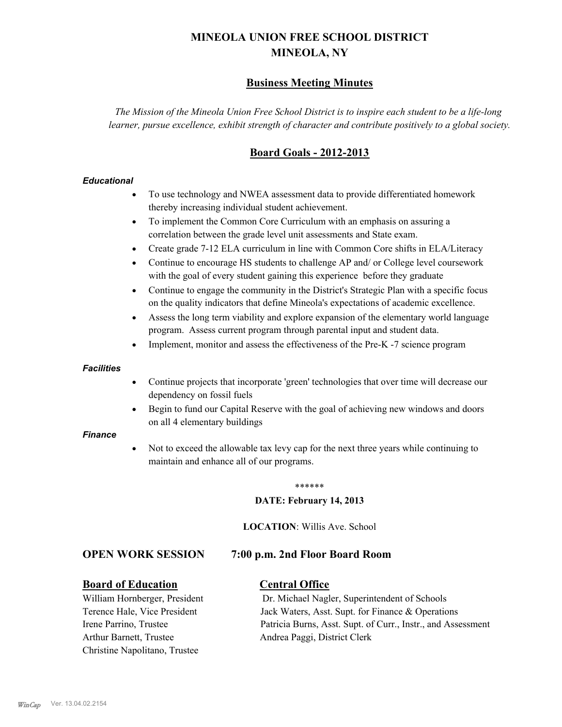# **MINEOLA UNION FREE SCHOOL DISTRICT MINEOLA, NY**

# **Business Meeting Minutes**

*The Mission of the Mineola Union Free School District is to inspire each student to be a life-long learner, pursue excellence, exhibit strength of character and contribute positively to a global society.*

# **Board Goals - 2012-2013**

# *Educational*

- · To use technology and NWEA assessment data to provide differentiated homework thereby increasing individual student achievement.
- · To implement the Common Core Curriculum with an emphasis on assuring a correlation between the grade level unit assessments and State exam.
- Create grade 7-12 ELA curriculum in line with Common Core shifts in ELA/Literacy
- Continue to encourage HS students to challenge AP and/ or College level coursework with the goal of every student gaining this experience before they graduate
- · Continue to engage the community in the District's Strategic Plan with a specific focus on the quality indicators that define Mineola's expectations of academic excellence.
- Assess the long term viability and explore expansion of the elementary world language program. Assess current program through parental input and student data.
- Implement, monitor and assess the effectiveness of the Pre-K -7 science program

## *Facilities*

- · Continue projects that incorporate 'green' technologies that over time will decrease our dependency on fossil fuels
- · Begin to fund our Capital Reserve with the goal of achieving new windows and doors on all 4 elementary buildings

## *Finance*

Not to exceed the allowable tax levy cap for the next three years while continuing to maintain and enhance all of our programs.

#### \*\*\*\*\*\*

## **DATE: February 14, 2013**

**LOCATION**: Willis Ave. School

# **OPEN WORK SESSION 7:00 p.m. 2nd Floor Board Room**

# **Board of Education Central Office**

Arthur Barnett, Trustee Andrea Paggi, District Clerk Christine Napolitano, Trustee

William Hornberger, President Dr. Michael Nagler, Superintendent of Schools Terence Hale, Vice President Jack Waters, Asst. Supt. for Finance & Operations Irene Parrino, Trustee Patricia Burns, Asst. Supt. of Curr., Instr., and Assessment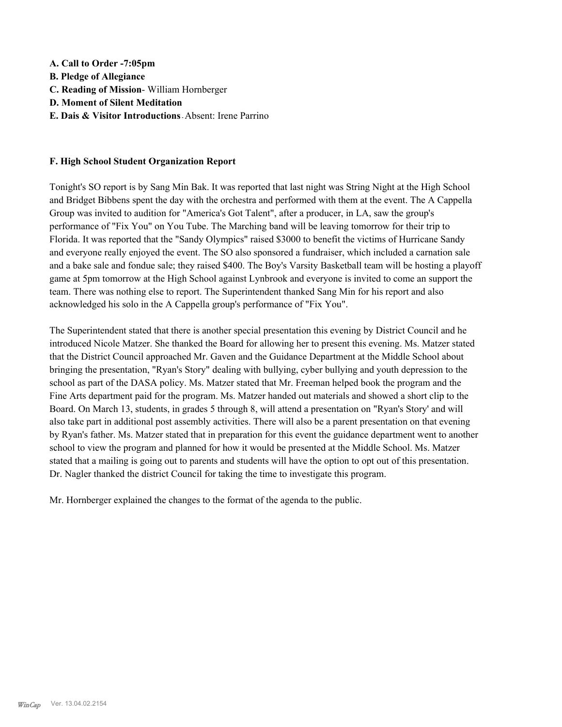**A. Call to Order -7:05pm B. Pledge of Allegiance C. Reading of Mission**- William Hornberger **D. Moment of Silent Meditation E. Dais & Visitor Introductions -** Absent: Irene Parrino

# **F. High School Student Organization Report**

Tonight's SO report is by Sang Min Bak. It was reported that last night was String Night at the High School and Bridget Bibbens spent the day with the orchestra and performed with them at the event. The A Cappella Group was invited to audition for "America's Got Talent", after a producer, in LA, saw the group's performance of "Fix You" on You Tube. The Marching band will be leaving tomorrow for their trip to Florida. It was reported that the "Sandy Olympics" raised \$3000 to benefit the victims of Hurricane Sandy and everyone really enjoyed the event. The SO also sponsored a fundraiser, which included a carnation sale and a bake sale and fondue sale; they raised \$400. The Boy's Varsity Basketball team will be hosting a playoff game at 5pm tomorrow at the High School against Lynbrook and everyone is invited to come an support the team. There was nothing else to report. The Superintendent thanked Sang Min for his report and also acknowledged his solo in the A Cappella group's performance of "Fix You".

The Superintendent stated that there is another special presentation this evening by District Council and he introduced Nicole Matzer. She thanked the Board for allowing her to present this evening. Ms. Matzer stated that the District Council approached Mr. Gaven and the Guidance Department at the Middle School about bringing the presentation, "Ryan's Story" dealing with bullying, cyber bullying and youth depression to the school as part of the DASA policy. Ms. Matzer stated that Mr. Freeman helped book the program and the Fine Arts department paid for the program. Ms. Matzer handed out materials and showed a short clip to the Board. On March 13, students, in grades 5 through 8, will attend a presentation on "Ryan's Story' and will also take part in additional post assembly activities. There will also be a parent presentation on that evening by Ryan's father. Ms. Matzer stated that in preparation for this event the guidance department went to another school to view the program and planned for how it would be presented at the Middle School. Ms. Matzer stated that a mailing is going out to parents and students will have the option to opt out of this presentation. Dr. Nagler thanked the district Council for taking the time to investigate this program.

Mr. Hornberger explained the changes to the format of the agenda to the public.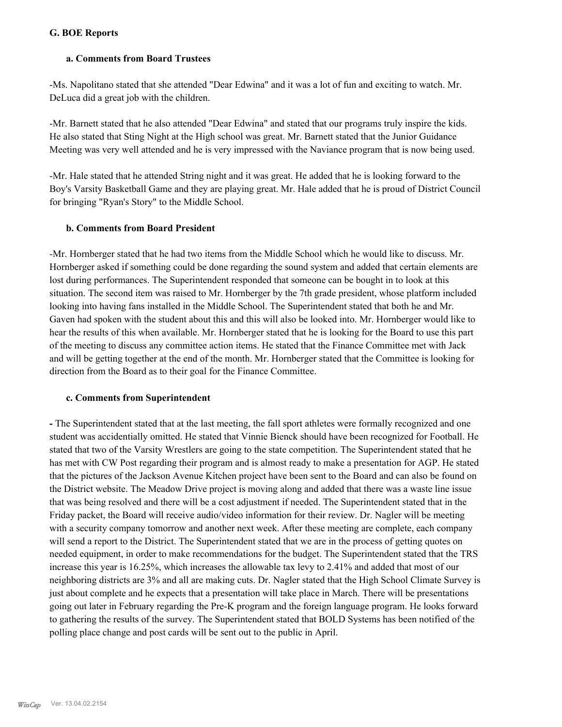# **G. BOE Reports**

# **a. Comments from Board Trustees**

-Ms. Napolitano stated that she attended "Dear Edwina" and it was a lot of fun and exciting to watch. Mr. DeLuca did a great job with the children.

-Mr. Barnett stated that he also attended "Dear Edwina" and stated that our programs truly inspire the kids. He also stated that Sting Night at the High school was great. Mr. Barnett stated that the Junior Guidance Meeting was very well attended and he is very impressed with the Naviance program that is now being used.

-Mr. Hale stated that he attended String night and it was great. He added that he is looking forward to the Boy's Varsity Basketball Game and they are playing great. Mr. Hale added that he is proud of District Council for bringing "Ryan's Story" to the Middle School.

# **b. Comments from Board President**

-Mr. Hornberger stated that he had two items from the Middle School which he would like to discuss. Mr. Hornberger asked if something could be done regarding the sound system and added that certain elements are lost during performances. The Superintendent responded that someone can be bought in to look at this situation. The second item was raised to Mr. Hornberger by the 7th grade president, whose platform included looking into having fans installed in the Middle School. The Superintendent stated that both he and Mr. Gaven had spoken with the student about this and this will also be looked into. Mr. Hornberger would like to hear the results of this when available. Mr. Hornberger stated that he is looking for the Board to use this part of the meeting to discuss any committee action items. He stated that the Finance Committee met with Jack and will be getting together at the end of the month. Mr. Hornberger stated that the Committee is looking for direction from the Board as to their goal for the Finance Committee.

## **c. Comments from Superintendent**

**-** The Superintendent stated that at the last meeting, the fall sport athletes were formally recognized and one student was accidentially omitted. He stated that Vinnie Bienck should have been recognized for Football. He stated that two of the Varsity Wrestlers are going to the state competition. The Superintendent stated that he has met with CW Post regarding their program and is almost ready to make a presentation for AGP. He stated that the pictures of the Jackson Avenue Kitchen project have been sent to the Board and can also be found on the District website. The Meadow Drive project is moving along and added that there was a waste line issue that was being resolved and there will be a cost adjustment if needed. The Superintendent stated that in the Friday packet, the Board will receive audio/video information for their review. Dr. Nagler will be meeting with a security company tomorrow and another next week. After these meeting are complete, each company will send a report to the District. The Superintendent stated that we are in the process of getting quotes on needed equipment, in order to make recommendations for the budget. The Superintendent stated that the TRS increase this year is 16.25%, which increases the allowable tax levy to 2.41% and added that most of our neighboring districts are 3% and all are making cuts. Dr. Nagler stated that the High School Climate Survey is just about complete and he expects that a presentation will take place in March. There will be presentations going out later in February regarding the Pre-K program and the foreign language program. He looks forward to gathering the results of the survey. The Superintendent stated that BOLD Systems has been notified of the polling place change and post cards will be sent out to the public in April.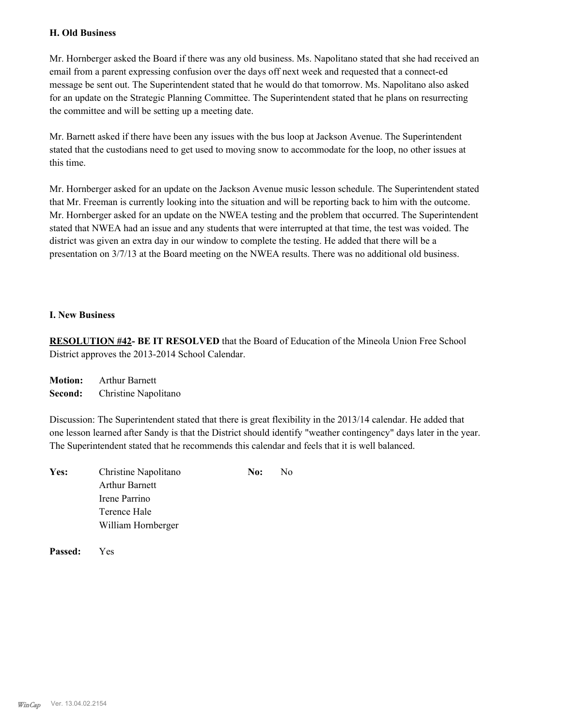# **H. Old Business**

Mr. Hornberger asked the Board if there was any old business. Ms. Napolitano stated that she had received an email from a parent expressing confusion over the days off next week and requested that a connect-ed message be sent out. The Superintendent stated that he would do that tomorrow. Ms. Napolitano also asked for an update on the Strategic Planning Committee. The Superintendent stated that he plans on resurrecting the committee and will be setting up a meeting date.

Mr. Barnett asked if there have been any issues with the bus loop at Jackson Avenue. The Superintendent stated that the custodians need to get used to moving snow to accommodate for the loop, no other issues at this time.

Mr. Hornberger asked for an update on the Jackson Avenue music lesson schedule. The Superintendent stated that Mr. Freeman is currently looking into the situation and will be reporting back to him with the outcome. Mr. Hornberger asked for an update on the NWEA testing and the problem that occurred. The Superintendent stated that NWEA had an issue and any students that were interrupted at that time, the test was voided. The district was given an extra day in our window to complete the testing. He added that there will be a presentation on 3/7/13 at the Board meeting on the NWEA results. There was no additional old business.

# **I. New Business**

**RESOLUTION #42- BE IT RESOLVED** that the Board of Education of the Mineola Union Free School District approves the 2013-2014 School Calendar.

**Motion:** Arthur Barnett **Second:** Christine Napolitano

Discussion: The Superintendent stated that there is great flexibility in the 2013/14 calendar. He added that one lesson learned after Sandy is that the District should identify "weather contingency" days later in the year. The Superintendent stated that he recommends this calendar and feels that it is well balanced.

| Yes: | Christine Napolitano | No: | N <sub>0</sub> |
|------|----------------------|-----|----------------|
|      | Arthur Barnett       |     |                |
|      | Irene Parrino        |     |                |
|      | Terence Hale         |     |                |
|      | William Hornberger   |     |                |
|      |                      |     |                |

**Passed:** Yes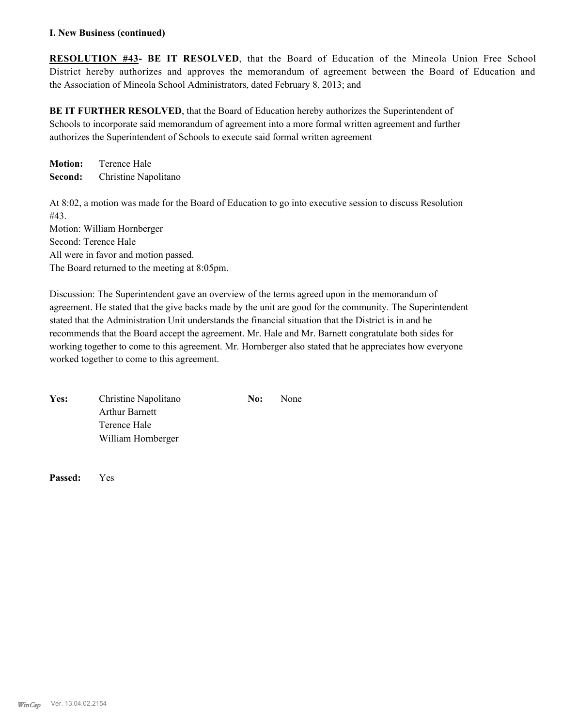# **I. New Business (continued)**

**RESOLUTION #43- BE IT RESOLVED**, that the Board of Education of the Mineola Union Free School District hereby authorizes and approves the memorandum of agreement between the Board of Education and the Association of Mineola School Administrators, dated February 8, 2013; and

**BE IT FURTHER RESOLVED**, that the Board of Education hereby authorizes the Superintendent of Schools to incorporate said memorandum of agreement into a more formal written agreement and further authorizes the Superintendent of Schools to execute said formal written agreement

**Motion:** Terence Hale **Second:** Christine Napolitano

At 8:02, a motion was made for the Board of Education to go into executive session to discuss Resolution #43.

Motion: William Hornberger Second: Terence Hale All were in favor and motion passed. The Board returned to the meeting at 8:05pm.

Discussion: The Superintendent gave an overview of the terms agreed upon in the memorandum of agreement. He stated that the give backs made by the unit are good for the community. The Superintendent stated that the Administration Unit understands the financial situation that the District is in and he recommends that the Board accept the agreement. Mr. Hale and Mr. Barnett congratulate both sides for working together to come to this agreement. Mr. Hornberger also stated that he appreciates how everyone worked together to come to this agreement.

| Yes: | Christine Napolitano | No: | None |
|------|----------------------|-----|------|
|      | Arthur Barnett       |     |      |
|      | Terence Hale         |     |      |
|      | William Hornberger   |     |      |

**Passed:** Yes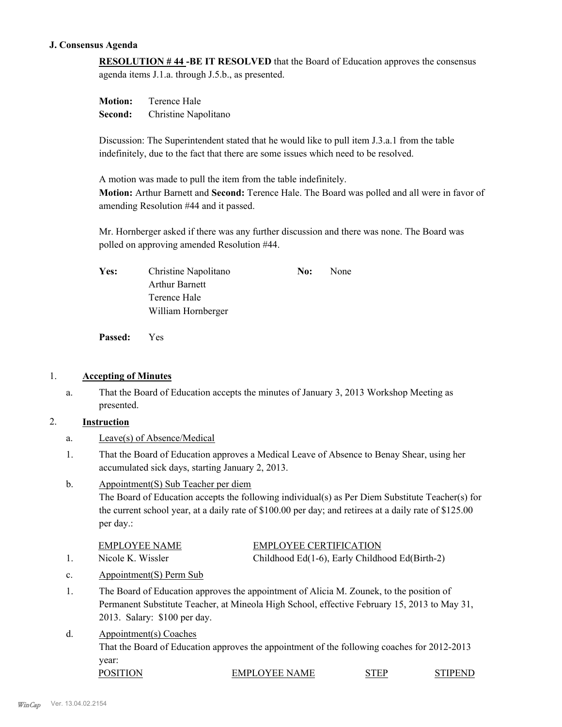# **J. Consensus Agenda**

**RESOLUTION # 44 -BE IT RESOLVED** that the Board of Education approves the consensus agenda items J.1.a. through J.5.b., as presented.

**Motion:** Terence Hale **Second:** Christine Napolitano

Discussion: The Superintendent stated that he would like to pull item J.3.a.1 from the table indefinitely, due to the fact that there are some issues which need to be resolved.

A motion was made to pull the item from the table indefinitely. **Motion:** Arthur Barnett and **Second:** Terence Hale. The Board was polled and all were in favor of amending Resolution #44 and it passed.

Mr. Hornberger asked if there was any further discussion and there was none. The Board was polled on approving amended Resolution #44.

| <b>Yes:</b> | Christine Napolitano  | No: | None |
|-------------|-----------------------|-----|------|
|             | <b>Arthur Barnett</b> |     |      |
|             | Terence Hale          |     |      |
|             | William Hornberger    |     |      |

**Passed:** Yes

# 1. **Accepting of Minutes**

That the Board of Education accepts the minutes of January 3, 2013 Workshop Meeting as presented. a.

# 2. **Instruction**

- a. Leave(s) of Absence/Medical
- That the Board of Education approves a Medical Leave of Absence to Benay Shear, using her accumulated sick days, starting January 2, 2013. 1.

#### Appointment(S) Sub Teacher per diem b.

The Board of Education accepts the following individual(s) as Per Diem Substitute Teacher(s) for the current school year, at a daily rate of \$100.00 per day; and retirees at a daily rate of \$125.00 per day.:

|        | <b>EMPLOYEE NAME</b>                                         | <b>EMPLOYEE CERTIFICATION</b>                  |
|--------|--------------------------------------------------------------|------------------------------------------------|
|        | Nicole K. Wissler                                            | Childhood Ed(1-6), Early Childhood Ed(Birth-2) |
| $\sim$ | $\Lambda$ no $\Lambda$ mountmont( $\Lambda$ ) Dorm $\Lambda$ |                                                |

- c. Appointment(S) Perm Sub
- The Board of Education approves the appointment of Alicia M. Zounek, to the position of Permanent Substitute Teacher, at Mineola High School, effective February 15, 2013 to May 31, 2013. Salary: \$100 per day. 1.
- Appointment(s) Coaches That the Board of Education approves the appointment of the following coaches for 2012-2013 year: d. POSITION EMPLOYEE NAME STEP STIPEND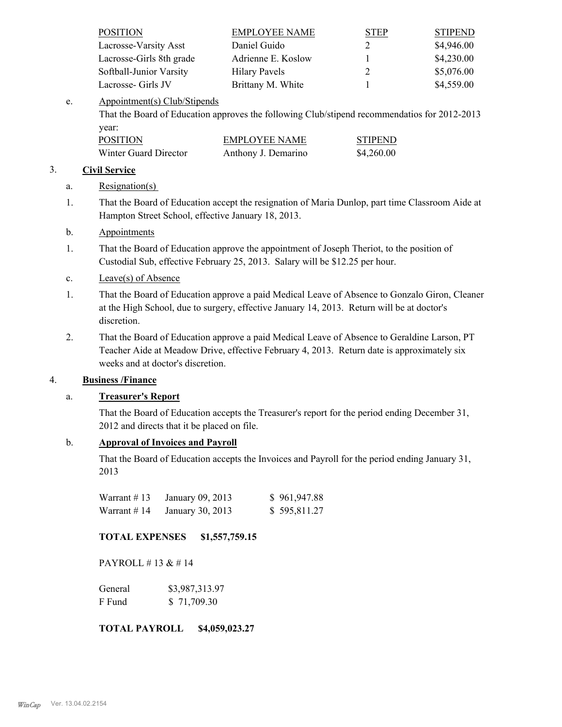| <b>POSITION</b>          | <b>EMPLOYEE NAME</b> | <b>STEP</b> | <b>STIPEND</b> |
|--------------------------|----------------------|-------------|----------------|
| Lacrosse-Varsity Asst    | Daniel Guido         |             | \$4,946.00     |
| Lacrosse-Girls 8th grade | Adrienne E. Koslow   |             | \$4,230.00     |
| Softball-Junior Varsity  | <b>Hilary Pavels</b> |             | \$5,076.00     |
| Lacrosse- Girls JV       | Brittany M. White    |             | \$4,559.00     |

#### Appointment(s) Club/Stipends e.

That the Board of Education approves the following Club/stipend recommendatios for 2012-2013 year:

| <b>POSITION</b>       | EMPLOYEE NAME       | <b>STIPEND</b> |
|-----------------------|---------------------|----------------|
| Winter Guard Director | Anthony J. Demarino | \$4,260.00     |

# 3. **Civil Service**

# a. Resignation(s)

That the Board of Education accept the resignation of Maria Dunlop, part time Classroom Aide at Hampton Street School, effective January 18, 2013. 1.

# b. Appointments

- That the Board of Education approve the appointment of Joseph Theriot, to the position of Custodial Sub, effective February 25, 2013. Salary will be \$12.25 per hour. 1.
- c. Leave(s) of Absence
- That the Board of Education approve a paid Medical Leave of Absence to Gonzalo Giron, Cleaner at the High School, due to surgery, effective January 14, 2013. Return will be at doctor's discretion. 1.
- That the Board of Education approve a paid Medical Leave of Absence to Geraldine Larson, PT Teacher Aide at Meadow Drive, effective February 4, 2013. Return date is approximately six weeks and at doctor's discretion. 2.

# 4. **Business /Finance**

# a. **Treasurer's Report**

That the Board of Education accepts the Treasurer's report for the period ending December 31, 2012 and directs that it be placed on file.

# b. **Approval of Invoices and Payroll**

That the Board of Education accepts the Invoices and Payroll for the period ending January 31, 2013

| Warrant $\#$ 13 | January 09, 2013 | \$961,947.88 |
|-----------------|------------------|--------------|
| Warrant $#14$   | January 30, 2013 | \$595,811.27 |

# **TOTAL EXPENSES \$1,557,759.15**

PAYROLL #13  $& 414$ 

| General | \$3,987,313.97 |
|---------|----------------|
| F Fund  | \$71,709.30    |

## **TOTAL PAYROLL \$4,059,023.27**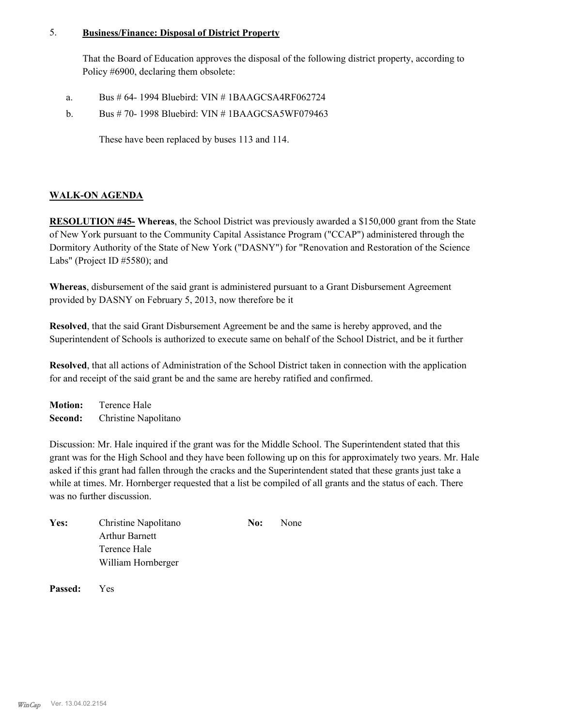#### **Business/Finance: Disposal of District Property** 5.

That the Board of Education approves the disposal of the following district property, according to Policy #6900, declaring them obsolete:

- a. Bus # 64- 1994 Bluebird: VIN # 1BAAGCSA4RF062724
- Bus # 70- 1998 Bluebird: VIN # 1BAAGCSA5WF079463 b.

These have been replaced by buses 113 and 114.

# **WALK-ON AGENDA**

**RESOLUTION #45- Whereas**, the School District was previously awarded a \$150,000 grant from the State of New York pursuant to the Community Capital Assistance Program ("CCAP") administered through the Dormitory Authority of the State of New York ("DASNY") for "Renovation and Restoration of the Science Labs" (Project ID #5580); and

**Whereas**, disbursement of the said grant is administered pursuant to a Grant Disbursement Agreement provided by DASNY on February 5, 2013, now therefore be it

**Resolved**, that the said Grant Disbursement Agreement be and the same is hereby approved, and the Superintendent of Schools is authorized to execute same on behalf of the School District, and be it further

**Resolved**, that all actions of Administration of the School District taken in connection with the application for and receipt of the said grant be and the same are hereby ratified and confirmed.

**Motion:** Terence Hale **Second:** Christine Napolitano

Discussion: Mr. Hale inquired if the grant was for the Middle School. The Superintendent stated that this grant was for the High School and they have been following up on this for approximately two years. Mr. Hale asked if this grant had fallen through the cracks and the Superintendent stated that these grants just take a while at times. Mr. Hornberger requested that a list be compiled of all grants and the status of each. There was no further discussion.

| Yes: | Christine Napolitano | No: | None |
|------|----------------------|-----|------|
|      | Arthur Barnett       |     |      |
|      | Terence Hale         |     |      |
|      | William Hornberger   |     |      |

**Passed:** Yes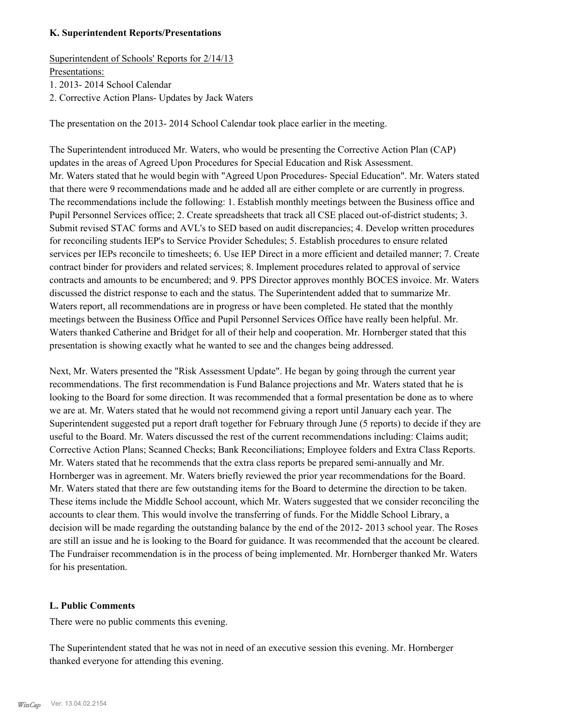# **K. Superintendent Reports/Presentations**

Superintendent of Schools' Reports for 2/14/13 Presentations:

1. 2013- 2014 School Calendar

2. Corrective Action Plans- Updates by Jack Waters

The presentation on the 2013- 2014 School Calendar took place earlier in the meeting.

The Superintendent introduced Mr. Waters, who would be presenting the Corrective Action Plan (CAP) updates in the areas of Agreed Upon Procedures for Special Education and Risk Assessment. Mr. Waters stated that he would begin with "Agreed Upon Procedures- Special Education". Mr. Waters stated that there were 9 recommendations made and he added all are either complete or are currently in progress. The recommendations include the following: 1. Establish monthly meetings between the Business office and Pupil Personnel Services office; 2. Create spreadsheets that track all CSE placed out-of-district students; 3. Submit revised STAC forms and AVL's to SED based on audit discrepancies; 4. Develop written procedures for reconciling students IEP's to Service Provider Schedules; 5. Establish procedures to ensure related services per IEPs reconcile to timesheets; 6. Use IEP Direct in a more efficient and detailed manner; 7. Create contract binder for providers and related services; 8. Implement procedures related to approval of service contracts and amounts to be encumbered; and 9. PPS Director approves monthly BOCES invoice. Mr. Waters discussed the district response to each and the status. The Superintendent added that to summarize Mr. Waters report, all recommendations are in progress or have been completed. He stated that the monthly meetings between the Business Office and Pupil Personnel Services Office have really been helpful. Mr. Waters thanked Catherine and Bridget for all of their help and cooperation. Mr. Hornberger stated that this presentation is showing exactly what he wanted to see and the changes being addressed.

Next, Mr. Waters presented the "Risk Assessment Update". He began by going through the current year recommendations. The first recommendation is Fund Balance projections and Mr. Waters stated that he is looking to the Board for some direction. It was recommended that a formal presentation be done as to where we are at. Mr. Waters stated that he would not recommend giving a report until January each year. The Superintendent suggested put a report draft together for February through June (5 reports) to decide if they are useful to the Board. Mr. Waters discussed the rest of the current recommendations including: Claims audit; Corrective Action Plans; Scanned Checks; Bank Reconciliations; Employee folders and Extra Class Reports. Mr. Waters stated that he recommends that the extra class reports be prepared semi-annually and Mr. Hornberger was in agreement. Mr. Waters briefly reviewed the prior year recommendations for the Board. Mr. Waters stated that there are few outstanding items for the Board to determine the direction to be taken. These items include the Middle School account, which Mr. Waters suggested that we consider reconciling the accounts to clear them. This would involve the transferring of funds. For the Middle School Library, a decision will be made regarding the outstanding balance by the end of the 2012- 2013 school year. The Roses are still an issue and he is looking to the Board for guidance. It was recommended that the account be cleared. The Fundraiser recommendation is in the process of being implemented. Mr. Hornberger thanked Mr. Waters for his presentation.

# **L. Public Comments**

There were no public comments this evening.

The Superintendent stated that he was not in need of an executive session this evening. Mr. Hornberger thanked everyone for attending this evening.